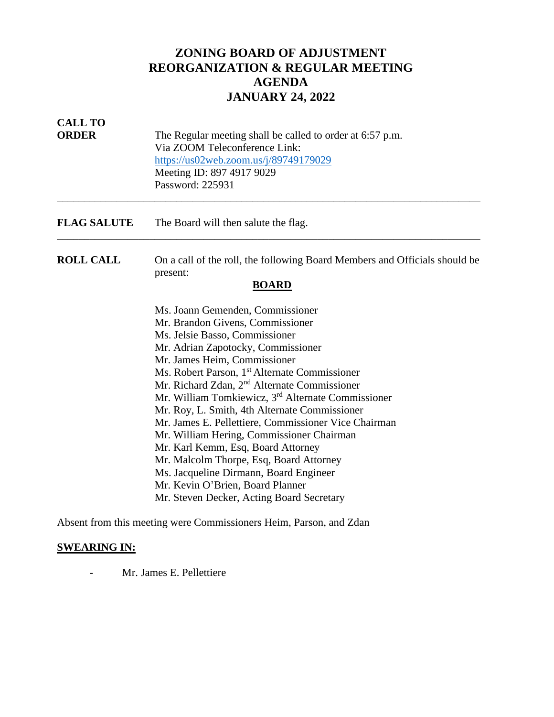# **ZONING BOARD OF ADJUSTMENT REORGANIZATION & REGULAR MEETING AGENDA JANUARY 24, 2022**

| <b>CALL TO</b><br><b>ORDER</b> | The Regular meeting shall be called to order at 6:57 p.m.<br>Via ZOOM Teleconference Link:<br>https://us02web.zoom.us/j/89749179029<br>Meeting ID: 897 4917 9029<br>Password: 225931                                                                                                                                                                                                                                                                                                                                                                                                                           |
|--------------------------------|----------------------------------------------------------------------------------------------------------------------------------------------------------------------------------------------------------------------------------------------------------------------------------------------------------------------------------------------------------------------------------------------------------------------------------------------------------------------------------------------------------------------------------------------------------------------------------------------------------------|
| <b>FLAG SALUTE</b>             | The Board will then salute the flag.                                                                                                                                                                                                                                                                                                                                                                                                                                                                                                                                                                           |
| <b>ROLL CALL</b>               | On a call of the roll, the following Board Members and Officials should be<br>present:<br><b>BOARD</b>                                                                                                                                                                                                                                                                                                                                                                                                                                                                                                         |
|                                | Ms. Joann Gemenden, Commissioner<br>Mr. Brandon Givens, Commissioner<br>Ms. Jelsie Basso, Commissioner<br>Mr. Adrian Zapotocky, Commissioner<br>Mr. James Heim, Commissioner<br>Ms. Robert Parson, 1 <sup>st</sup> Alternate Commissioner<br>Mr. Richard Zdan, 2 <sup>nd</sup> Alternate Commissioner<br>Mr. William Tomkiewicz, 3 <sup>rd</sup> Alternate Commissioner<br>Mr. Roy, L. Smith, 4th Alternate Commissioner<br>Mr. James E. Pellettiere, Commissioner Vice Chairman<br>Mr. William Hering, Commissioner Chairman<br>Mr. Karl Kemm, Esq, Board Attorney<br>Mr. Malcolm Thorpe, Esq, Board Attorney |
|                                | Ms. Jacqueline Dirmann, Board Engineer<br>Mr. Kevin O'Brien, Board Planner<br>Mr. Steven Decker, Acting Board Secretary                                                                                                                                                                                                                                                                                                                                                                                                                                                                                        |

Absent from this meeting were Commissioners Heim, Parson, and Zdan

# **SWEARING IN:**

- Mr. James E. Pellettiere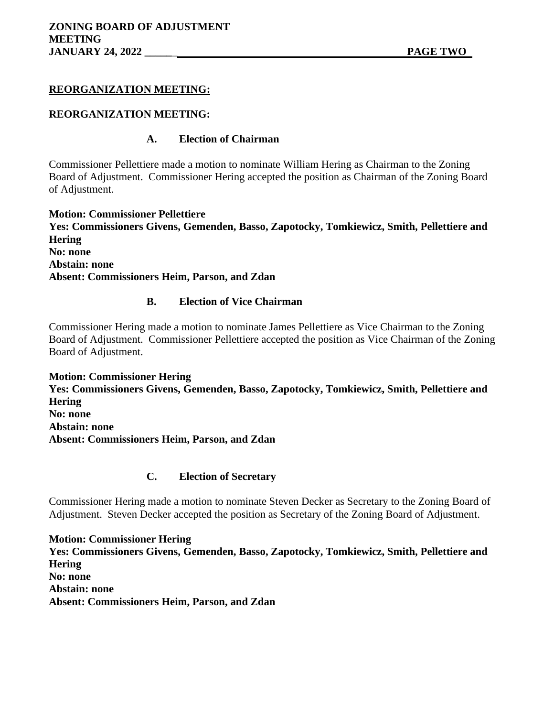# **REORGANIZATION MEETING:**

# **REORGANIZATION MEETING:**

# **A. Election of Chairman**

Commissioner Pellettiere made a motion to nominate William Hering as Chairman to the Zoning Board of Adjustment. Commissioner Hering accepted the position as Chairman of the Zoning Board of Adjustment.

**Motion: Commissioner Pellettiere Yes: Commissioners Givens, Gemenden, Basso, Zapotocky, Tomkiewicz, Smith, Pellettiere and Hering No: none Abstain: none Absent: Commissioners Heim, Parson, and Zdan**

# **B. Election of Vice Chairman**

Commissioner Hering made a motion to nominate James Pellettiere as Vice Chairman to the Zoning Board of Adjustment. Commissioner Pellettiere accepted the position as Vice Chairman of the Zoning Board of Adjustment.

**Motion: Commissioner Hering Yes: Commissioners Givens, Gemenden, Basso, Zapotocky, Tomkiewicz, Smith, Pellettiere and Hering No: none Abstain: none Absent: Commissioners Heim, Parson, and Zdan**

# **C. Election of Secretary**

Commissioner Hering made a motion to nominate Steven Decker as Secretary to the Zoning Board of Adjustment. Steven Decker accepted the position as Secretary of the Zoning Board of Adjustment.

**Motion: Commissioner Hering Yes: Commissioners Givens, Gemenden, Basso, Zapotocky, Tomkiewicz, Smith, Pellettiere and Hering No: none Abstain: none Absent: Commissioners Heim, Parson, and Zdan**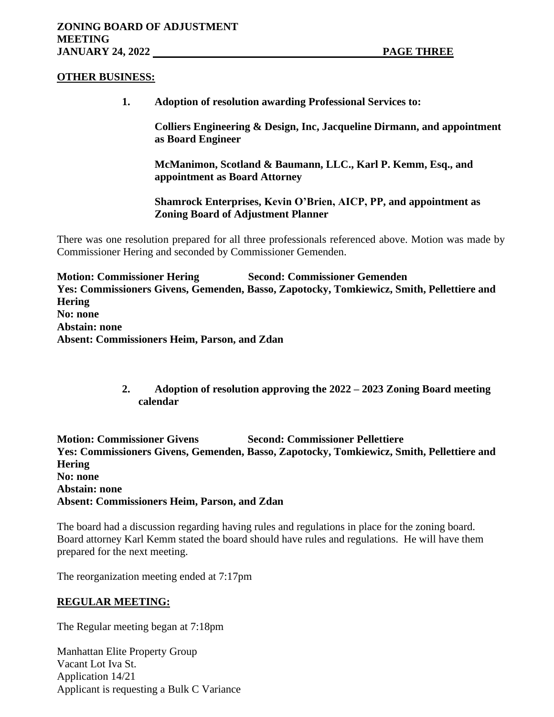### **OTHER BUSINESS:**

**1. Adoption of resolution awarding Professional Services to:**

**Colliers Engineering & Design, Inc, Jacqueline Dirmann, and appointment as Board Engineer**

**McManimon, Scotland & Baumann, LLC., Karl P. Kemm, Esq., and appointment as Board Attorney**

**Shamrock Enterprises, Kevin O'Brien, AICP, PP, and appointment as Zoning Board of Adjustment Planner**

There was one resolution prepared for all three professionals referenced above. Motion was made by Commissioner Hering and seconded by Commissioner Gemenden.

**Motion: Commissioner Hering Second: Commissioner Gemenden Yes: Commissioners Givens, Gemenden, Basso, Zapotocky, Tomkiewicz, Smith, Pellettiere and Hering No: none Abstain: none Absent: Commissioners Heim, Parson, and Zdan**

> **2. Adoption of resolution approving the 2022 – 2023 Zoning Board meeting calendar**

**Motion: Commissioner Givens Second: Commissioner Pellettiere Yes: Commissioners Givens, Gemenden, Basso, Zapotocky, Tomkiewicz, Smith, Pellettiere and Hering No: none Abstain: none Absent: Commissioners Heim, Parson, and Zdan**

The board had a discussion regarding having rules and regulations in place for the zoning board. Board attorney Karl Kemm stated the board should have rules and regulations. He will have them prepared for the next meeting.

The reorganization meeting ended at 7:17pm

# **REGULAR MEETING:**

The Regular meeting began at 7:18pm

Manhattan Elite Property Group Vacant Lot Iva St. Application 14/21 Applicant is requesting a Bulk C Variance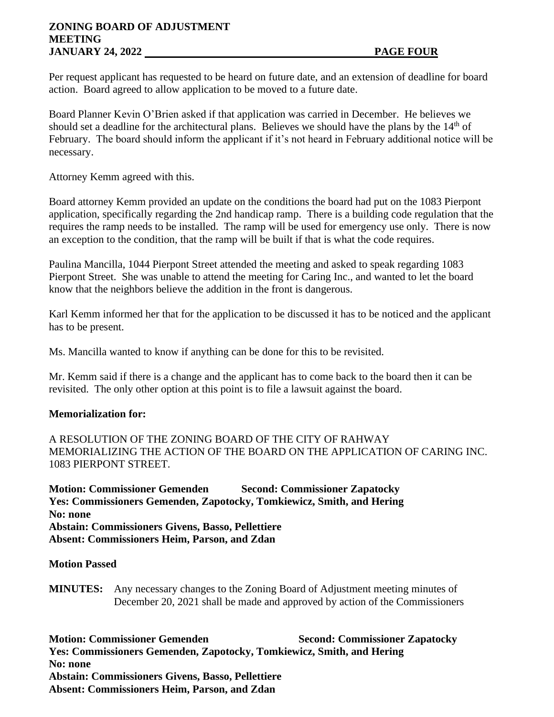# **ZONING BOARD OF ADJUSTMENT MEETING JANUARY 24, 2022 PAGE FOUR**

Per request applicant has requested to be heard on future date, and an extension of deadline for board action. Board agreed to allow application to be moved to a future date.

Board Planner Kevin O'Brien asked if that application was carried in December. He believes we should set a deadline for the architectural plans. Believes we should have the plans by the  $14<sup>th</sup>$  of February. The board should inform the applicant if it's not heard in February additional notice will be necessary.

Attorney Kemm agreed with this.

Board attorney Kemm provided an update on the conditions the board had put on the 1083 Pierpont application, specifically regarding the 2nd handicap ramp. There is a building code regulation that the requires the ramp needs to be installed. The ramp will be used for emergency use only. There is now an exception to the condition, that the ramp will be built if that is what the code requires.

Paulina Mancilla, 1044 Pierpont Street attended the meeting and asked to speak regarding 1083 Pierpont Street. She was unable to attend the meeting for Caring Inc., and wanted to let the board know that the neighbors believe the addition in the front is dangerous.

Karl Kemm informed her that for the application to be discussed it has to be noticed and the applicant has to be present.

Ms. Mancilla wanted to know if anything can be done for this to be revisited.

Mr. Kemm said if there is a change and the applicant has to come back to the board then it can be revisited. The only other option at this point is to file a lawsuit against the board.

# **Memorialization for:**

A RESOLUTION OF THE ZONING BOARD OF THE CITY OF RAHWAY MEMORIALIZING THE ACTION OF THE BOARD ON THE APPLICATION OF CARING INC. 1083 PIERPONT STREET.

**Motion: Commissioner Gemenden Second: Commissioner Zapatocky Yes: Commissioners Gemenden, Zapotocky, Tomkiewicz, Smith, and Hering No: none Abstain: Commissioners Givens, Basso, Pellettiere Absent: Commissioners Heim, Parson, and Zdan**

#### **Motion Passed**

**MINUTES:** Any necessary changes to the Zoning Board of Adjustment meeting minutes of December 20, 2021 shall be made and approved by action of the Commissioners

**Motion: Commissioner Gemenden Second: Commissioner Zapatocky Yes: Commissioners Gemenden, Zapotocky, Tomkiewicz, Smith, and Hering No: none Abstain: Commissioners Givens, Basso, Pellettiere Absent: Commissioners Heim, Parson, and Zdan**